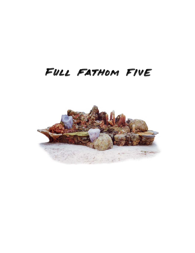

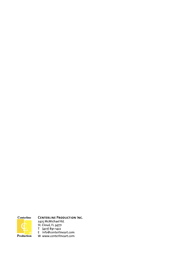

### **CENTERLINE PRODUCTION INC.**

2425 McMichael Rd.<br>
St. Cloud, FL 34771<br>
T (407) 891-1422<br>
E info@centerlineart.com W www.centerlineart.com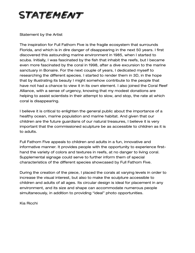## STATEMENT

### Statement by the Artist

The inspiration for Full Fathom Five is the fragile ecosystem that surrounds Florida, and which is in dire danger of disappearing in the next 50 years. I first discovered this astounding marine environment in 1985, when I started to scuba. Initially, I was fascinated by the fish that inhabit the reefs, but I became even more fascinated by the coral in 1998, after a dive excursion to the marine sanctuary in Bonaire. For the next couple of years, I dedicated myself to researching the different species. I started to render them in 3D, in the hope that by illustrating its beauty I might somehow contribute to the people that have not had a chance to view it in its own element. I also joined the Coral Reef Alliance, with a sense of urgency, knowing that my modest donations are helping to assist scientists in their attempt to slow, and stop, the rate at which coral is disappearing.

I believe it is critical to enlighten the general public about the importance of a healthy ocean, marine population and marine habitat. And given that our children are the future guardians of our natural treasures, I believe it is very important that the commissioned sculpture be as accessible to children as it is to adults.

Full Fathom Five appeals to children and adults in a fun, innovative and informative manner. It provides people with the opportunity to experience firsthand the variety of colors and textures in reefs, at no danger to living coral. Supplemental signage could serve to further inform them of special characteristics of the different species showcased by Full Fathom Five.

During the creation of the piece, I placed the corals at varying levels in order to increase the visual interest, but also to make the sculpture accessible to children and adults of all ages. Its circular design is ideal for placement in any environment, and its size and shape can accommodate numerous people simultaneously, in addition to providing "ideal" photo opportunities.

Kia Ricchi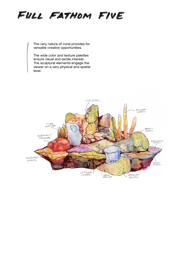## FULL FATHOM FIVE

The very nature of coral provides for versatile creative opportunities.

The wide color and texture palettes ensure visual and tactile interest. The sculptural elements engage the viewer on a very physical and spatial level.

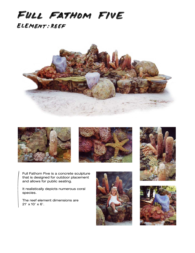## FULL FATHOM FIVE ELEMENT: REEF









Full Fathom Five is a concrete sculpture that is designed for outdoor placement and allows for public seating.

It realistically depicts numerous coral species.

The reef element dimensions are 21' x 10' x 6'.



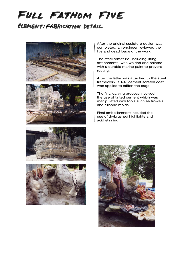# FULL FATHOM FIVE

### ELEMENT: FABRICATION DETAIL





After the original sculpture design was completed, an engineer reviewed the live and dead loads of the work.

The steel armature, including lifting attachments, was welded and painted with a durable marine paint to prevent rusting.

After the lathe was attached to the steel framework, a 1/4" cement scratch coat was applied to stiffen the cage.

The final carving process involved the use of tinted cement which was manipulated with tools such as trowels and silicone molds.

Final embellishment included the use of drybrushed highlights and acid staining.





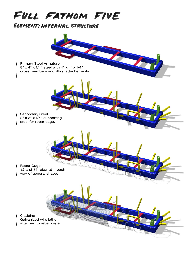